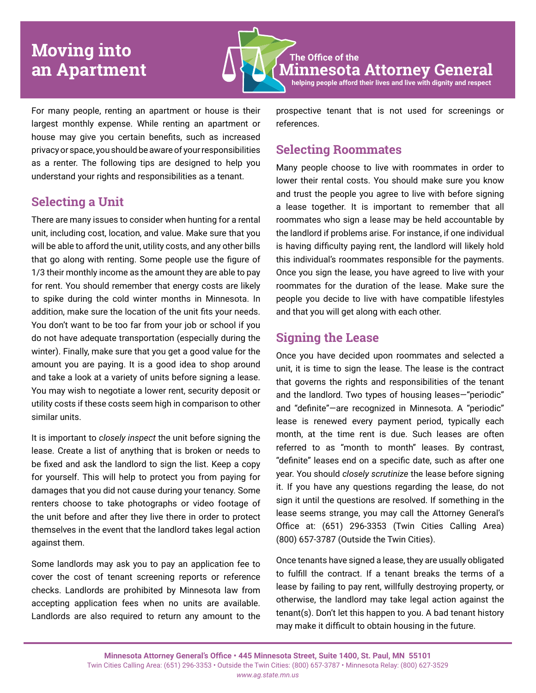# **Moving into an Apartment**

**The Office of the Minnesota Attorney General helping people afford their lives and live with dignity and respect**

For many people, renting an apartment or house is their largest monthly expense. While renting an apartment or house may give you certain benefits, such as increased privacy or space, you should be aware of your responsibilities as a renter. The following tips are designed to help you understand your rights and responsibilities as a tenant.

## **Selecting a Unit**

There are many issues to consider when hunting for a rental unit, including cost, location, and value. Make sure that you will be able to afford the unit, utility costs, and any other bills that go along with renting. Some people use the figure of 1/3 their monthly income as the amount they are able to pay for rent. You should remember that energy costs are likely to spike during the cold winter months in Minnesota. In addition, make sure the location of the unit fits your needs. You don't want to be too far from your job or school if you do not have adequate transportation (especially during the winter). Finally, make sure that you get a good value for the amount you are paying. It is a good idea to shop around and take a look at a variety of units before signing a lease. You may wish to negotiate a lower rent, security deposit or utility costs if these costs seem high in comparison to other similar units.

It is important to *closely inspect* the unit before signing the lease. Create a list of anything that is broken or needs to be fixed and ask the landlord to sign the list. Keep a copy for yourself. This will help to protect you from paying for damages that you did not cause during your tenancy. Some renters choose to take photographs or video footage of the unit before and after they live there in order to protect themselves in the event that the landlord takes legal action against them.

Some landlords may ask you to pay an application fee to cover the cost of tenant screening reports or reference checks. Landlords are prohibited by Minnesota law from accepting application fees when no units are available. Landlords are also required to return any amount to the

prospective tenant that is not used for screenings or references.

### **Selecting Roommates**

Many people choose to live with roommates in order to lower their rental costs. You should make sure you know and trust the people you agree to live with before signing a lease together. It is important to remember that all roommates who sign a lease may be held accountable by the landlord if problems arise. For instance, if one individual is having difficulty paying rent, the landlord will likely hold this individual's roommates responsible for the payments. Once you sign the lease, you have agreed to live with your roommates for the duration of the lease. Make sure the people you decide to live with have compatible lifestyles and that you will get along with each other.

## **Signing the Lease**

Once you have decided upon roommates and selected a unit, it is time to sign the lease. The lease is the contract that governs the rights and responsibilities of the tenant and the landlord. Two types of housing leases—"periodic" and "definite"—are recognized in Minnesota. A "periodic" lease is renewed every payment period, typically each month, at the time rent is due. Such leases are often referred to as "month to month" leases. By contrast, "definite" leases end on a specific date, such as after one year. You should *closely scrutinize* the lease before signing it. If you have any questions regarding the lease, do not sign it until the questions are resolved. If something in the lease seems strange, you may call the Attorney General's Office at: (651) 296-3353 (Twin Cities Calling Area) (800) 657-3787 (Outside the Twin Cities).

Once tenants have signed a lease, they are usually obligated to fulfill the contract. If a tenant breaks the terms of a lease by failing to pay rent, willfully destroying property, or otherwise, the landlord may take legal action against the tenant(s). Don't let this happen to you. A bad tenant history may make it difficult to obtain housing in the future.